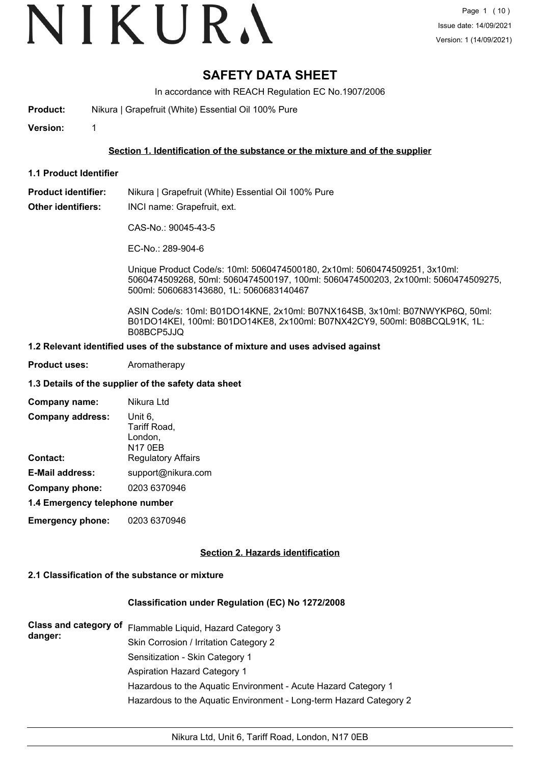## **SAFETY DATA SHEET**

In accordance with REACH Regulation EC No.1907/2006

- **Product:** Nikura | Grapefruit (White) Essential Oil 100% Pure
- **Version:** 1

### **Section 1. Identification of the substance or the mixture and of the supplier**

**1.1 Product Identifier**

**Product identifier:** Nikura | Grapefruit (White) Essential Oil 100% Pure

**Other identifiers:** INCI name: Grapefruit, ext.

CAS-No.: 90045-43-5

EC-No.: 289-904-6

Unique Product Code/s: 10ml: 5060474500180, 2x10ml: 5060474509251, 3x10ml: 5060474509268, 50ml: 5060474500197, 100ml: 5060474500203, 2x100ml: 5060474509275, 500ml: 5060683143680, 1L: 5060683140467

ASIN Code/s: 10ml: B01DO14KNE, 2x10ml: B07NX164SB, 3x10ml: B07NWYKP6Q, 50ml: B01DO14KEI, 100ml: B01DO14KE8, 2x100ml: B07NX42CY9, 500ml: B08BCQL91K, 1L: B08BCP5JJQ

#### **1.2 Relevant identified uses of the substance of mixture and uses advised against**

**Product uses:** Aromatherapy

#### **1.3 Details of the supplier of the safety data sheet**

| Company name:                  | Nikura Ltd                                           |
|--------------------------------|------------------------------------------------------|
| <b>Company address:</b>        | Unit 6,<br>Tariff Road,<br>London,<br><b>N17 0EB</b> |
| <b>Contact:</b>                | <b>Regulatory Affairs</b>                            |
| <b>E-Mail address:</b>         | support@nikura.com                                   |
| Company phone:                 | 0203 6370946                                         |
| 4.4 Emarganau talanhana numbar |                                                      |

**1.4 Emergency telephone number**

**Emergency phone:** 0203 6370946

#### **Section 2. Hazards identification**

#### **2.1 Classification of the substance or mixture**

#### **Classification under Regulation (EC) No 1272/2008**

| danger: | Class and category of Flammable Liquid, Hazard Category 3          |
|---------|--------------------------------------------------------------------|
|         | Skin Corrosion / Irritation Category 2                             |
|         | Sensitization - Skin Category 1                                    |
|         | Aspiration Hazard Category 1                                       |
|         | Hazardous to the Aquatic Environment - Acute Hazard Category 1     |
|         | Hazardous to the Aquatic Environment - Long-term Hazard Category 2 |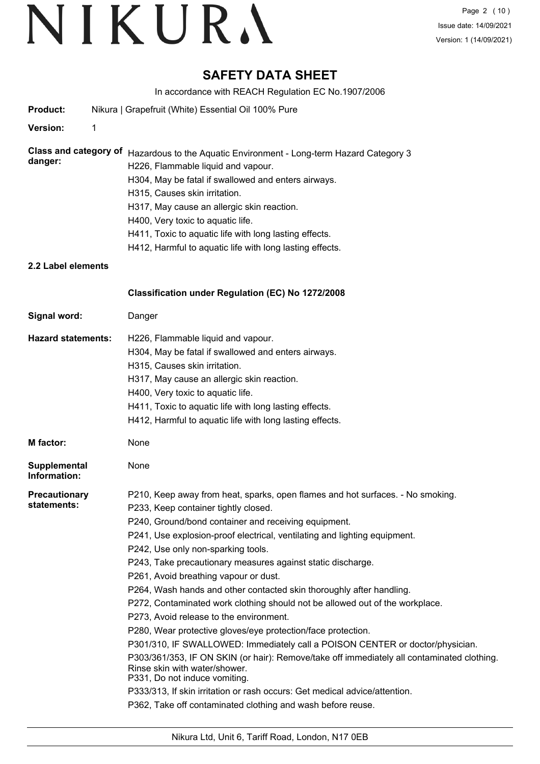## **SAFETY DATA SHEET**

In accordance with REACH Regulation EC No.1907/2006

|                                                               |   | In accordance with REACH Regulation EC NO. 1907/2006                                                                                                                                                                                                                                                                                                                                                                                                                                                                                                                                                                                                                                                                                                                                                                                                                                                                                                                                                        |
|---------------------------------------------------------------|---|-------------------------------------------------------------------------------------------------------------------------------------------------------------------------------------------------------------------------------------------------------------------------------------------------------------------------------------------------------------------------------------------------------------------------------------------------------------------------------------------------------------------------------------------------------------------------------------------------------------------------------------------------------------------------------------------------------------------------------------------------------------------------------------------------------------------------------------------------------------------------------------------------------------------------------------------------------------------------------------------------------------|
| Product:                                                      |   | Nikura   Grapefruit (White) Essential Oil 100% Pure                                                                                                                                                                                                                                                                                                                                                                                                                                                                                                                                                                                                                                                                                                                                                                                                                                                                                                                                                         |
| Version:                                                      | 1 |                                                                                                                                                                                                                                                                                                                                                                                                                                                                                                                                                                                                                                                                                                                                                                                                                                                                                                                                                                                                             |
| <b>Class and category of</b><br>danger:<br>2.2 Label elements |   | Hazardous to the Aquatic Environment - Long-term Hazard Category 3<br>H226, Flammable liquid and vapour.<br>H304, May be fatal if swallowed and enters airways.<br>H315, Causes skin irritation.<br>H317, May cause an allergic skin reaction.<br>H400, Very toxic to aquatic life.<br>H411, Toxic to aquatic life with long lasting effects.<br>H412, Harmful to aquatic life with long lasting effects.                                                                                                                                                                                                                                                                                                                                                                                                                                                                                                                                                                                                   |
|                                                               |   | Classification under Regulation (EC) No 1272/2008                                                                                                                                                                                                                                                                                                                                                                                                                                                                                                                                                                                                                                                                                                                                                                                                                                                                                                                                                           |
| Signal word:                                                  |   | Danger                                                                                                                                                                                                                                                                                                                                                                                                                                                                                                                                                                                                                                                                                                                                                                                                                                                                                                                                                                                                      |
| <b>Hazard statements:</b>                                     |   | H226, Flammable liquid and vapour.<br>H304, May be fatal if swallowed and enters airways.<br>H315, Causes skin irritation.<br>H317, May cause an allergic skin reaction.<br>H400, Very toxic to aquatic life.<br>H411, Toxic to aquatic life with long lasting effects.<br>H412, Harmful to aquatic life with long lasting effects.                                                                                                                                                                                                                                                                                                                                                                                                                                                                                                                                                                                                                                                                         |
| M factor:                                                     |   | None                                                                                                                                                                                                                                                                                                                                                                                                                                                                                                                                                                                                                                                                                                                                                                                                                                                                                                                                                                                                        |
| <b>Supplemental</b><br>Information:                           |   | None                                                                                                                                                                                                                                                                                                                                                                                                                                                                                                                                                                                                                                                                                                                                                                                                                                                                                                                                                                                                        |
| <b>Precautionary</b><br>statements:                           |   | P210, Keep away from heat, sparks, open flames and hot surfaces. - No smoking.<br>P233, Keep container tightly closed.<br>P240, Ground/bond container and receiving equipment.<br>P241, Use explosion-proof electrical, ventilating and lighting equipment.<br>P242, Use only non-sparking tools.<br>P243, Take precautionary measures against static discharge.<br>P261, Avoid breathing vapour or dust.<br>P264, Wash hands and other contacted skin thoroughly after handling.<br>P272, Contaminated work clothing should not be allowed out of the workplace.<br>P273, Avoid release to the environment.<br>P280, Wear protective gloves/eye protection/face protection.<br>P301/310, IF SWALLOWED: Immediately call a POISON CENTER or doctor/physician.<br>P303/361/353, IF ON SKIN (or hair): Remove/take off immediately all contaminated clothing.<br>Rinse skin with water/shower.<br>P331, Do not induce vomiting.<br>P333/313, If skin irritation or rash occurs: Get medical advice/attention. |
|                                                               |   | P362, Take off contaminated clothing and wash before reuse.                                                                                                                                                                                                                                                                                                                                                                                                                                                                                                                                                                                                                                                                                                                                                                                                                                                                                                                                                 |
|                                                               |   |                                                                                                                                                                                                                                                                                                                                                                                                                                                                                                                                                                                                                                                                                                                                                                                                                                                                                                                                                                                                             |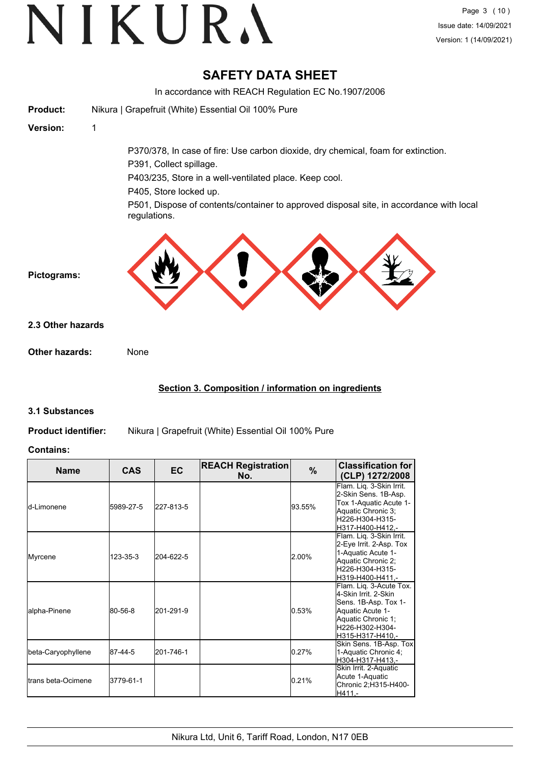## **SAFETY DATA SHEET**

In accordance with REACH Regulation EC No.1907/2006 **Product:** Nikura | Grapefruit (White) Essential Oil 100% Pure **Version:** 1 P370/378, In case of fire: Use carbon dioxide, dry chemical, foam for extinction. P391, Collect spillage. P403/235, Store in a well-ventilated place. Keep cool. P405, Store locked up. P501, Dispose of contents/container to approved disposal site, in accordance with local regulations. **Pictograms: Other hazards:** None **2.3 Other hazards**

### **Section 3. Composition / information on ingredients**

### **3.1 Substances**

**Product identifier:** Nikura | Grapefruit (White) Essential Oil 100% Pure

#### **Contains:**

| <b>Name</b>                 | <b>CAS</b> | <b>EC</b> | <b>REACH Registration</b><br>No. | $\%$   | <b>Classification for</b><br>(CLP) 1272/2008                                                                                                             |
|-----------------------------|------------|-----------|----------------------------------|--------|----------------------------------------------------------------------------------------------------------------------------------------------------------|
| <b>l</b> d-Limonene         | 5989-27-5  | 227-813-5 |                                  | 93.55% | Flam. Lig. 3-Skin Irrit.<br>2-Skin Sens. 1B-Asp.<br>Tox 1-Aquatic Acute 1-<br>Aquatic Chronic 3:<br>H226-H304-H315-<br>H317-H400-H412,-                  |
| Myrcene                     | 123-35-3   | 204-622-5 |                                  | 2.00%  | Flam. Liq. 3-Skin Irrit.<br>2-Eye Irrit. 2-Asp. Tox<br>1-Aquatic Acute 1-<br>Aquatic Chronic 2;<br>H226-H304-H315-<br>H319-H400-H411,-                   |
| lalpha-Pinene               | 80-56-8    | 201-291-9 |                                  | 0.53%  | Flam. Lig. 3-Acute Tox.<br>4-Skin Irrit, 2-Skin<br>Sens. 1B-Asp. Tox 1-<br>Aquatic Acute 1-<br>Aquatic Chronic 1;<br>H226-H302-H304-<br>H315-H317-H410,- |
| beta-Caryophyllene          | 87-44-5    | 201-746-1 |                                  | 0.27%  | Skin Sens. 1B-Asp. Tox<br>1-Aquatic Chronic 4;<br>H304-H317-H413,-                                                                                       |
| <b>I</b> trans beta-Ocimene | 3779-61-1  |           |                                  | 0.21%  | Skin Irrit. 2-Aquatic<br>Acute 1-Aquatic<br>Chronic 2;H315-H400-<br>H411,-                                                                               |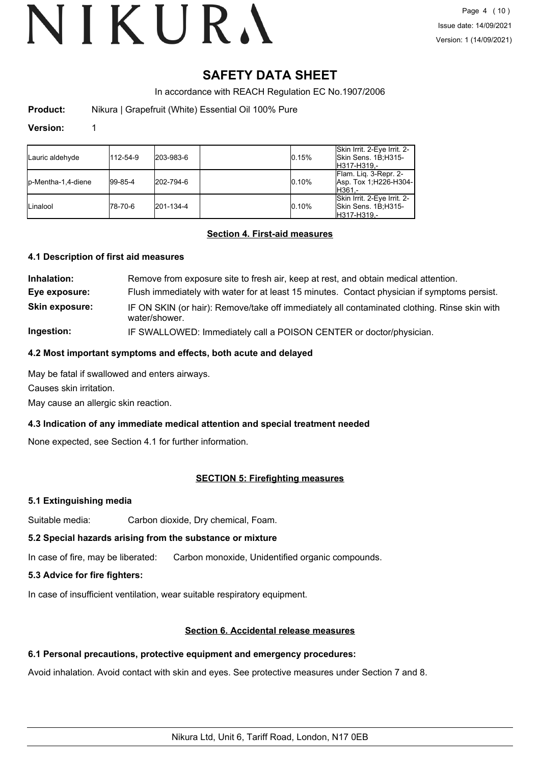## **SAFETY DATA SHEET**

In accordance with REACH Regulation EC No.1907/2006

**Product:** Nikura | Grapefruit (White) Essential Oil 100% Pure

#### **Version:** 1

| Lauric aldehyde     | 112-54-9    | 203-983-6 | 0.15% | Skin Irrit. 2-Eye Irrit. 2-<br>Skin Sens. 1B;H315-<br>H317-H319.- |
|---------------------|-------------|-----------|-------|-------------------------------------------------------------------|
| lp-Mentha-1.4-diene | $ 99-85-4 $ | 202-794-6 | 0.10% | Flam. Lig. 3-Repr. 2-<br>Asp. Tox 1, H226-H304-<br>IH361.-        |
| Linalool            | 178-70-6    | 201-134-4 | 0.10% | Skin Irrit. 2-Eye Irrit. 2-<br>Skin Sens. 1B;H315-<br>H317-H319.- |

#### **Section 4. First-aid measures**

#### **4.1 Description of first aid measures**

| Inhalation:           | Remove from exposure site to fresh air, keep at rest, and obtain medical attention.                           |
|-----------------------|---------------------------------------------------------------------------------------------------------------|
| Eye exposure:         | Flush immediately with water for at least 15 minutes. Contact physician if symptoms persist.                  |
| <b>Skin exposure:</b> | IF ON SKIN (or hair): Remove/take off immediately all contaminated clothing. Rinse skin with<br>water/shower. |
| Ingestion:            | IF SWALLOWED: Immediately call a POISON CENTER or doctor/physician.                                           |

#### **4.2 Most important symptoms and effects, both acute and delayed**

May be fatal if swallowed and enters airways.

Causes skin irritation.

May cause an allergic skin reaction.

### **4.3 Indication of any immediate medical attention and special treatment needed**

None expected, see Section 4.1 for further information.

### **SECTION 5: Firefighting measures**

#### **5.1 Extinguishing media**

Suitable media: Carbon dioxide, Dry chemical, Foam.

#### **5.2 Special hazards arising from the substance or mixture**

In case of fire, may be liberated: Carbon monoxide, Unidentified organic compounds.

#### **5.3 Advice for fire fighters:**

In case of insufficient ventilation, wear suitable respiratory equipment.

#### **Section 6. Accidental release measures**

#### **6.1 Personal precautions, protective equipment and emergency procedures:**

Avoid inhalation. Avoid contact with skin and eyes. See protective measures under Section 7 and 8.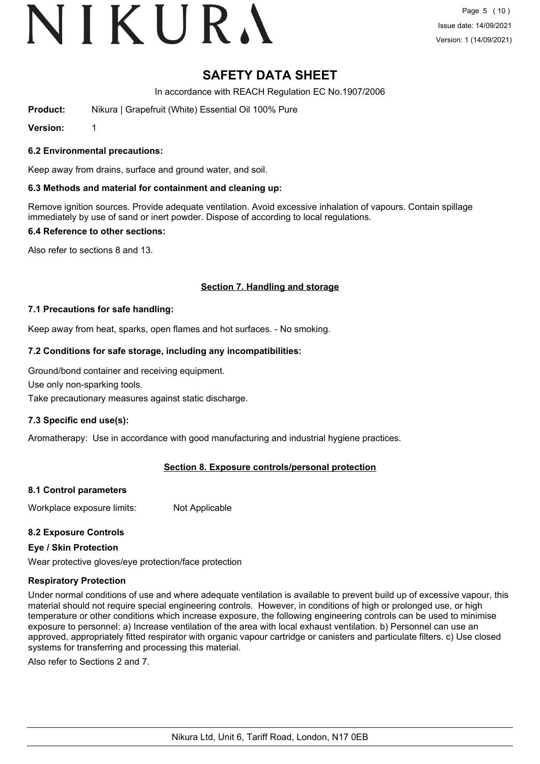# **SAFETY DATA SHEET**

In accordance with REACH Regulation EC No.1907/2006

**Product:** Nikura | Grapefruit (White) Essential Oil 100% Pure

**Version:** 1

#### **6.2 Environmental precautions:**

Keep away from drains, surface and ground water, and soil.

#### **6.3 Methods and material for containment and cleaning up:**

Remove ignition sources. Provide adequate ventilation. Avoid excessive inhalation of vapours. Contain spillage immediately by use of sand or inert powder. Dispose of according to local regulations.

#### **6.4 Reference to other sections:**

Also refer to sections 8 and 13.

#### **Section 7. Handling and storage**

#### **7.1 Precautions for safe handling:**

Keep away from heat, sparks, open flames and hot surfaces. - No smoking.

#### **7.2 Conditions for safe storage, including any incompatibilities:**

Ground/bond container and receiving equipment.

Use only non-sparking tools.

Take precautionary measures against static discharge.

#### **7.3 Specific end use(s):**

Aromatherapy: Use in accordance with good manufacturing and industrial hygiene practices.

#### **Section 8. Exposure controls/personal protection**

#### **8.1 Control parameters**

Workplace exposure limits: Not Applicable

#### **8.2 Exposure Controls**

#### **Eye / Skin Protection**

Wear protective gloves/eye protection/face protection

#### **Respiratory Protection**

Under normal conditions of use and where adequate ventilation is available to prevent build up of excessive vapour, this material should not require special engineering controls. However, in conditions of high or prolonged use, or high temperature or other conditions which increase exposure, the following engineering controls can be used to minimise exposure to personnel: a) Increase ventilation of the area with local exhaust ventilation. b) Personnel can use an approved, appropriately fitted respirator with organic vapour cartridge or canisters and particulate filters. c) Use closed systems for transferring and processing this material.

Also refer to Sections 2 and 7.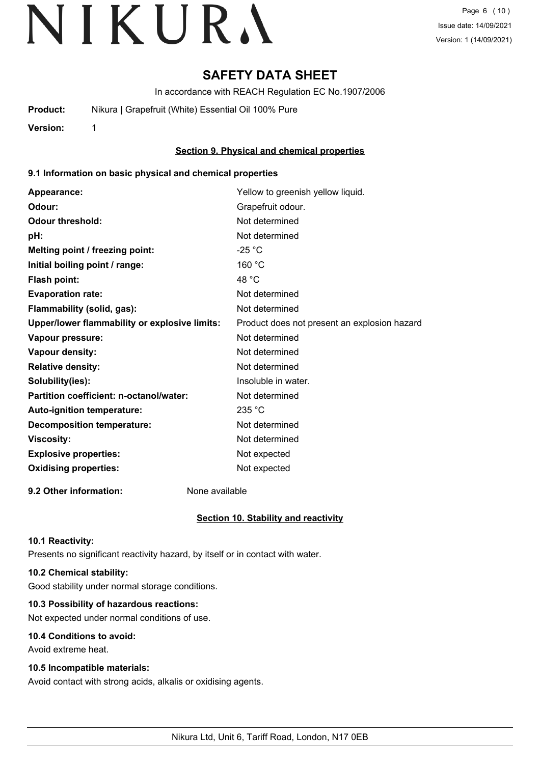## **SAFETY DATA SHEET**

In accordance with REACH Regulation EC No.1907/2006

**Product:** Nikura | Grapefruit (White) Essential Oil 100% Pure

**Version:** 1

### **Section 9. Physical and chemical properties**

#### **9.1 Information on basic physical and chemical properties**

| Appearance:                                   | Yellow to greenish yellow liquid.            |
|-----------------------------------------------|----------------------------------------------|
| Odour:                                        | Grapefruit odour.                            |
| <b>Odour threshold:</b>                       | Not determined                               |
| pH:                                           | Not determined                               |
| Melting point / freezing point:               | $-25 °C$                                     |
| Initial boiling point / range:                | 160 °C                                       |
| <b>Flash point:</b>                           | 48 °C                                        |
| <b>Evaporation rate:</b>                      | Not determined                               |
| Flammability (solid, gas):                    | Not determined                               |
| Upper/lower flammability or explosive limits: | Product does not present an explosion hazard |
| Vapour pressure:                              | Not determined                               |
| <b>Vapour density:</b>                        | Not determined                               |
| <b>Relative density:</b>                      | Not determined                               |
| Solubility(ies):                              | Insoluble in water.                          |
| Partition coefficient: n-octanol/water:       | Not determined                               |
| Auto-ignition temperature:                    | 235 °C                                       |
| <b>Decomposition temperature:</b>             | Not determined                               |
| <b>Viscosity:</b>                             | Not determined                               |
| <b>Explosive properties:</b>                  | Not expected                                 |
| <b>Oxidising properties:</b>                  | Not expected                                 |
|                                               |                                              |

**9.2 Other information:** None available

### **Section 10. Stability and reactivity**

#### **10.1 Reactivity:**

Presents no significant reactivity hazard, by itself or in contact with water.

### **10.2 Chemical stability:**

Good stability under normal storage conditions.

#### **10.3 Possibility of hazardous reactions:**

Not expected under normal conditions of use.

#### **10.4 Conditions to avoid:**

Avoid extreme heat.

#### **10.5 Incompatible materials:**

Avoid contact with strong acids, alkalis or oxidising agents.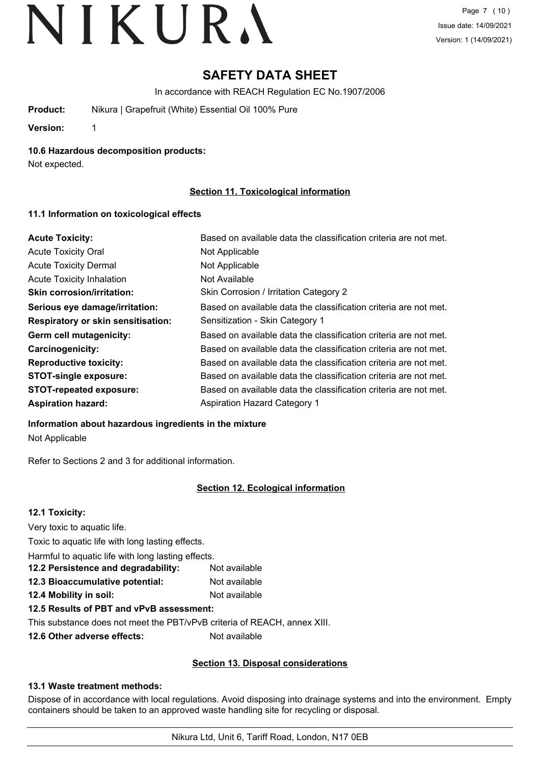# **SAFETY DATA SHEET**

In accordance with REACH Regulation EC No.1907/2006

**Product:** Nikura | Grapefruit (White) Essential Oil 100% Pure

**Version:** 1

**10.6 Hazardous decomposition products:**

Not expected.

### **Section 11. Toxicological information**

#### **11.1 Information on toxicological effects**

| <b>Acute Toxicity:</b>                    | Based on available data the classification criteria are not met. |
|-------------------------------------------|------------------------------------------------------------------|
| <b>Acute Toxicity Oral</b>                | Not Applicable                                                   |
| <b>Acute Toxicity Dermal</b>              | Not Applicable                                                   |
| <b>Acute Toxicity Inhalation</b>          | Not Available                                                    |
| <b>Skin corrosion/irritation:</b>         | Skin Corrosion / Irritation Category 2                           |
| Serious eye damage/irritation:            | Based on available data the classification criteria are not met. |
| <b>Respiratory or skin sensitisation:</b> | Sensitization - Skin Category 1                                  |
| Germ cell mutagenicity:                   | Based on available data the classification criteria are not met. |
| <b>Carcinogenicity:</b>                   | Based on available data the classification criteria are not met. |
| <b>Reproductive toxicity:</b>             | Based on available data the classification criteria are not met. |
| <b>STOT-single exposure:</b>              | Based on available data the classification criteria are not met. |
| <b>STOT-repeated exposure:</b>            | Based on available data the classification criteria are not met. |
| <b>Aspiration hazard:</b>                 | <b>Aspiration Hazard Category 1</b>                              |

#### **Information about hazardous ingredients in the mixture**

Not Applicable

Refer to Sections 2 and 3 for additional information.

## **Section 12. Ecological information**

## **12.1 Toxicity:** Very toxic to aquatic life. Toxic to aquatic life with long lasting effects. Harmful to aquatic life with long lasting effects. **12.2 Persistence and degradability:** Not available **12.3 Bioaccumulative potential:** Not available **12.4 Mobility in soil:** Not available **12.5 Results of PBT and vPvB assessment:** This substance does not meet the PBT/vPvB criteria of REACH, annex XIII. **12.6 Other adverse effects:** Not available

## **Section 13. Disposal considerations**

### **13.1 Waste treatment methods:**

Dispose of in accordance with local regulations. Avoid disposing into drainage systems and into the environment. Empty containers should be taken to an approved waste handling site for recycling or disposal.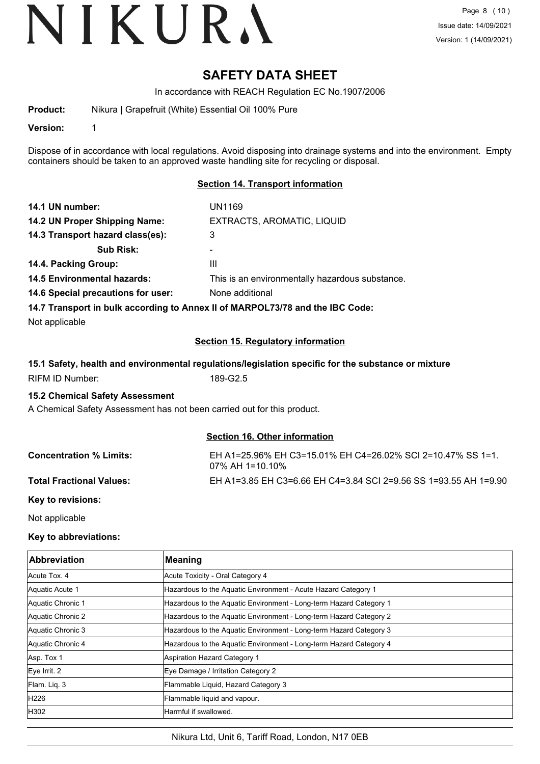## **SAFETY DATA SHEET**

In accordance with REACH Regulation EC No.1907/2006

**Product:** Nikura | Grapefruit (White) Essential Oil 100% Pure

**Version:** 1

Dispose of in accordance with local regulations. Avoid disposing into drainage systems and into the environment. Empty containers should be taken to an approved waste handling site for recycling or disposal.

#### **Section 14. Transport information**

| 14.1 UN number:                    | UN1169                                                                        |
|------------------------------------|-------------------------------------------------------------------------------|
| 14.2 UN Proper Shipping Name:      | EXTRACTS, AROMATIC, LIQUID                                                    |
| 14.3 Transport hazard class(es):   | 3                                                                             |
| <b>Sub Risk:</b>                   | -                                                                             |
| 14.4. Packing Group:               | Ш                                                                             |
| <b>14.5 Environmental hazards:</b> | This is an environmentally hazardous substance.                               |
| 14.6 Special precautions for user: | None additional                                                               |
|                                    | 14.7 Transport in bulk according to Annex II of MARPOL73/78 and the IBC Code: |

Not applicable

#### **Section 15. Regulatory information**

#### **15.1 Safety, health and environmental regulations/legislation specific for the substance or mixture**

RIFM ID Number: 189-G2.5

#### **15.2 Chemical Safety Assessment**

A Chemical Safety Assessment has not been carried out for this product.

#### **Section 16. Other information**

| <b>Concentration % Limits:</b>  | EH A1=25.96% EH C3=15.01% EH C4=26.02% SCI 2=10.47% SS 1=1.<br>$07\%$ AH 1=10.10% |
|---------------------------------|-----------------------------------------------------------------------------------|
| <b>Total Fractional Values:</b> | EH A1=3.85 EH C3=6.66 EH C4=3.84 SCI 2=9.56 SS 1=93.55 AH 1=9.90                  |
|                                 |                                                                                   |

**Key to revisions:**

Not applicable

#### **Key to abbreviations:**

| <b>Abbreviation</b> | <b>Meaning</b>                                                     |
|---------------------|--------------------------------------------------------------------|
| Acute Tox, 4        | Acute Toxicity - Oral Category 4                                   |
| Aquatic Acute 1     | Hazardous to the Aquatic Environment - Acute Hazard Category 1     |
| Aquatic Chronic 1   | Hazardous to the Aquatic Environment - Long-term Hazard Category 1 |
| Aquatic Chronic 2   | Hazardous to the Aquatic Environment - Long-term Hazard Category 2 |
| Aquatic Chronic 3   | Hazardous to the Aquatic Environment - Long-term Hazard Category 3 |
| Aquatic Chronic 4   | Hazardous to the Aquatic Environment - Long-term Hazard Category 4 |
| Asp. Tox 1          | Aspiration Hazard Category 1                                       |
| $Eye$ Irrit. 2      | Eye Damage / Irritation Category 2                                 |
| Flam. Lig. 3        | Flammable Liquid, Hazard Category 3                                |
| H226                | Flammable liquid and vapour.                                       |
| H302                | Harmful if swallowed.                                              |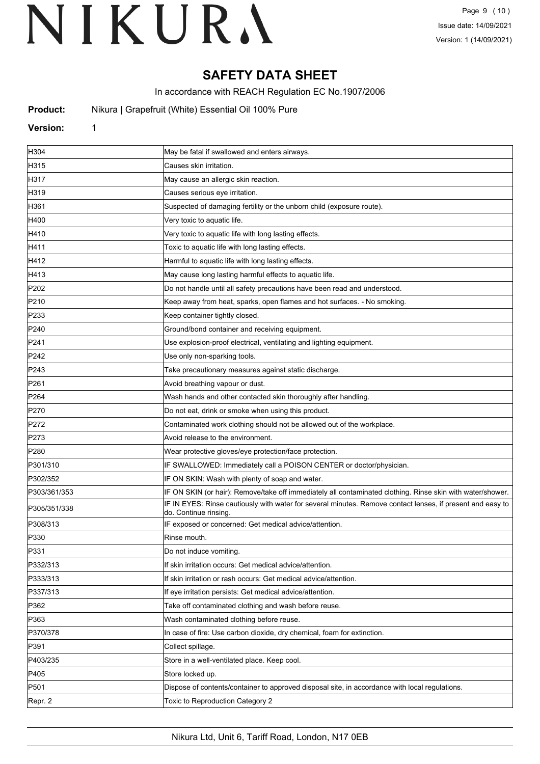## **SAFETY DATA SHEET**

In accordance with REACH Regulation EC No.1907/2006

**Product:** Nikura | Grapefruit (White) Essential Oil 100% Pure

#### **Version:** 1

| H304             | May be fatal if swallowed and enters airways.                                                                                       |
|------------------|-------------------------------------------------------------------------------------------------------------------------------------|
| H315             | Causes skin irritation.                                                                                                             |
| H317             | May cause an allergic skin reaction.                                                                                                |
| H319             | Causes serious eye irritation.                                                                                                      |
| H361             | Suspected of damaging fertility or the unborn child (exposure route).                                                               |
| H400             | Very toxic to aquatic life.                                                                                                         |
| H410             | Very toxic to aquatic life with long lasting effects.                                                                               |
| H411             | Toxic to aquatic life with long lasting effects.                                                                                    |
| H412             | Harmful to aquatic life with long lasting effects.                                                                                  |
| H413             | May cause long lasting harmful effects to aquatic life.                                                                             |
| P202             | Do not handle until all safety precautions have been read and understood.                                                           |
| P210             | Keep away from heat, sparks, open flames and hot surfaces. - No smoking.                                                            |
| P233             | Keep container tightly closed.                                                                                                      |
| P240             | Ground/bond container and receiving equipment.                                                                                      |
| P241             | Use explosion-proof electrical, ventilating and lighting equipment.                                                                 |
| P242             | Use only non-sparking tools.                                                                                                        |
| P243             | Take precautionary measures against static discharge.                                                                               |
| P261             | Avoid breathing vapour or dust.                                                                                                     |
| P <sub>264</sub> | Wash hands and other contacted skin thoroughly after handling.                                                                      |
| P270             | Do not eat, drink or smoke when using this product.                                                                                 |
| P272             | Contaminated work clothing should not be allowed out of the workplace.                                                              |
| P273             | Avoid release to the environment.                                                                                                   |
| P280             | Wear protective gloves/eye protection/face protection.                                                                              |
| P301/310         | IF SWALLOWED: Immediately call a POISON CENTER or doctor/physician.                                                                 |
| P302/352         | IF ON SKIN: Wash with plenty of soap and water.                                                                                     |
| P303/361/353     | IF ON SKIN (or hair): Remove/take off immediately all contaminated clothing. Rinse skin with water/shower.                          |
| P305/351/338     | IF IN EYES: Rinse cautiously with water for several minutes. Remove contact lenses, if present and easy to<br>do. Continue rinsing. |
| P308/313         | IF exposed or concerned: Get medical advice/attention.                                                                              |
| P330             | Rinse mouth.                                                                                                                        |
| P331             | Do not induce vomiting.                                                                                                             |
| P332/313         | If skin irritation occurs: Get medical advice/attention.                                                                            |
| P333/313         | If skin irritation or rash occurs: Get medical advice/attention.                                                                    |
| P337/313         | If eye irritation persists: Get medical advice/attention.                                                                           |
| P362             | Take off contaminated clothing and wash before reuse.                                                                               |
| P363             | Wash contaminated clothing before reuse.                                                                                            |
| P370/378         | In case of fire: Use carbon dioxide, dry chemical, foam for extinction.                                                             |
| P391             | Collect spillage.                                                                                                                   |
| P403/235         | Store in a well-ventilated place. Keep cool.                                                                                        |
| P405             | Store locked up.                                                                                                                    |
| P501             | Dispose of contents/container to approved disposal site, in accordance with local regulations.                                      |
| Repr. 2          | Toxic to Reproduction Category 2                                                                                                    |